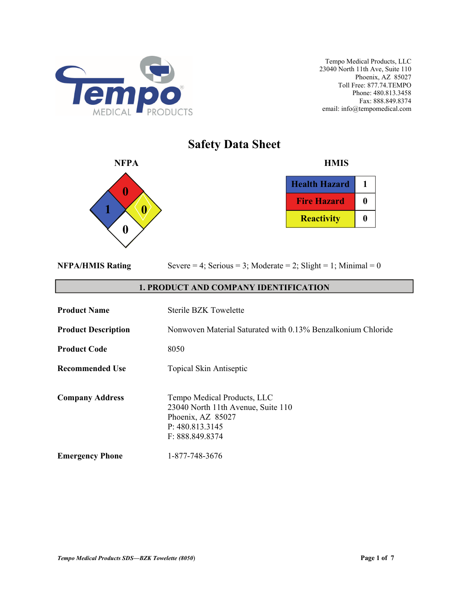

## **Safety Data Sheet**



| <b>Health Hazard</b> |  |
|----------------------|--|
| <b>Fire Hazard</b>   |  |
| <b>Reactivity</b>    |  |

|  | <b>NFPA/HMIS Rating</b> |
|--|-------------------------|
|  |                         |

Severe  $= 4$ ; Serious  $= 3$ ; Moderate  $= 2$ ; Slight  $= 1$ ; Minimal  $= 0$ 

#### **1. PRODUCT AND COMPANY IDENTIFICATION**

| <b>Product Name</b>        | Sterile BZK Towelette                                                                                                        |
|----------------------------|------------------------------------------------------------------------------------------------------------------------------|
| <b>Product Description</b> | Nonwoven Material Saturated with 0.13% Benzalkonium Chloride                                                                 |
| <b>Product Code</b>        | 8050                                                                                                                         |
| <b>Recommended Use</b>     | <b>Topical Skin Antiseptic</b>                                                                                               |
| <b>Company Address</b>     | Tempo Medical Products, LLC<br>23040 North 11th Avenue, Suite 110<br>Phoenix, AZ 85027<br>P: 480.813.3145<br>F: 888.849.8374 |
| <b>Emergency Phone</b>     | 1-877-748-3676                                                                                                               |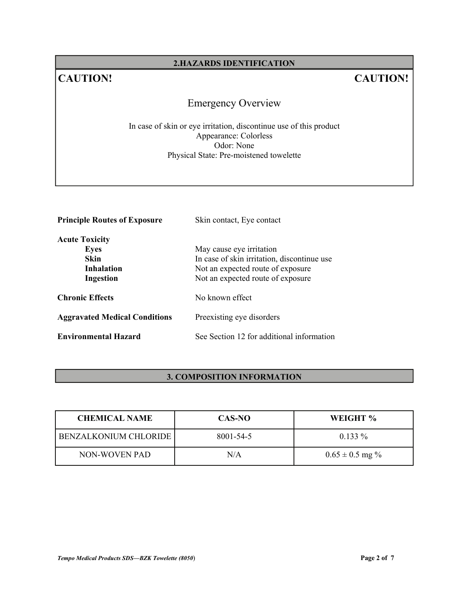#### **2.HAZARDS IDENTIFICATION**

## **CAUTION! CAUTION!**

## Emergency Overview

In case of skin or eye irritation, discontinue use of this product Appearance: Colorless Odor: None Physical State: Pre-moistened towelette

| <b>Principle Routes of Exposure</b>  | Skin contact, Eye contact                   |
|--------------------------------------|---------------------------------------------|
| <b>Acute Toxicity</b>                |                                             |
| <b>Eyes</b>                          | May cause eye irritation                    |
| <b>Skin</b>                          | In case of skin irritation, discontinue use |
| <b>Inhalation</b>                    | Not an expected route of exposure           |
| Ingestion                            | Not an expected route of exposure           |
| <b>Chronic Effects</b>               | No known effect                             |
| <b>Aggravated Medical Conditions</b> | Preexisting eye disorders                   |
| <b>Environmental Hazard</b>          | See Section 12 for additional information   |

#### **3. COMPOSITION INFORMATION**

| <b>CHEMICAL NAME</b>  | CAS-NO    | WEIGHT %            |
|-----------------------|-----------|---------------------|
| BENZALKONIUM CHLORIDE | 8001-54-5 | $0.133\%$           |
| NON-WOVEN PAD         | N/A       | $0.65 \pm 0.5$ mg % |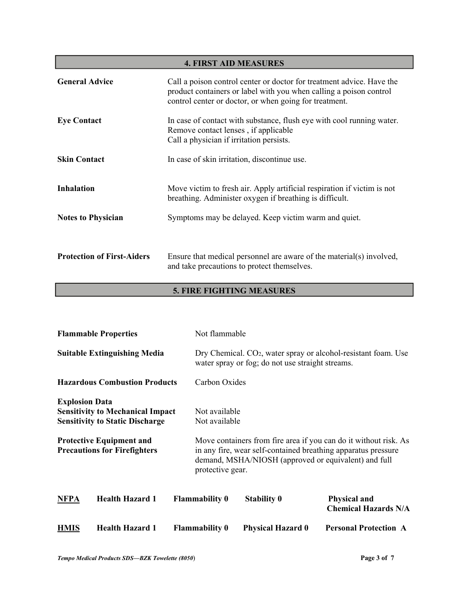| <b>4. FIRST AID MEASURES</b>      |                                                                                                                                                                                                       |  |
|-----------------------------------|-------------------------------------------------------------------------------------------------------------------------------------------------------------------------------------------------------|--|
| <b>General Advice</b>             | Call a poison control center or doctor for treatment advice. Have the<br>product containers or label with you when calling a poison control<br>control center or doctor, or when going for treatment. |  |
| <b>Eye Contact</b>                | In case of contact with substance, flush eye with cool running water.<br>Remove contact lenses, if applicable<br>Call a physician if irritation persists.                                             |  |
| <b>Skin Contact</b>               | In case of skin irritation, discontinue use.                                                                                                                                                          |  |
| <b>Inhalation</b>                 | Move victim to fresh air. Apply artificial respiration if victim is not<br>breathing. Administer oxygen if breathing is difficult.                                                                    |  |
| <b>Notes to Physician</b>         | Symptoms may be delayed. Keep victim warm and quiet.                                                                                                                                                  |  |
| <b>Protection of First-Aiders</b> | Ensure that medical personnel are aware of the material(s) involved,<br>and take precautions to protect themselves.                                                                                   |  |

### **5. FIRE FIGHTING MEASURES**

|                                     | <b>Flammable Properties</b>                                                                                                                                 |  | Not flammable                                                                                                                  |                          |                                                                                                                                                                                           |
|-------------------------------------|-------------------------------------------------------------------------------------------------------------------------------------------------------------|--|--------------------------------------------------------------------------------------------------------------------------------|--------------------------|-------------------------------------------------------------------------------------------------------------------------------------------------------------------------------------------|
| <b>Suitable Extinguishing Media</b> |                                                                                                                                                             |  | Dry Chemical. CO <sub>2</sub> , water spray or alcohol-resistant foam. Use<br>water spray or fog; do not use straight streams. |                          |                                                                                                                                                                                           |
|                                     | <b>Hazardous Combustion Products</b>                                                                                                                        |  | Carbon Oxides                                                                                                                  |                          |                                                                                                                                                                                           |
| <b>Explosion Data</b>               | <b>Sensitivity to Mechanical Impact</b><br><b>Sensitivity to Static Discharge</b><br><b>Protective Equipment and</b><br><b>Precautions for Firefighters</b> |  | Not available<br>Not available                                                                                                 |                          | Move containers from fire area if you can do it without risk. As<br>in any fire, wear self-contained breathing apparatus pressure<br>demand, MSHA/NIOSH (approved or equivalent) and full |
|                                     |                                                                                                                                                             |  | protective gear.                                                                                                               |                          |                                                                                                                                                                                           |
| <b>NFPA</b>                         | <b>Health Hazard 1</b>                                                                                                                                      |  | <b>Flammability 0</b>                                                                                                          | <b>Stability 0</b>       | <b>Physical and</b><br><b>Chemical Hazards N/A</b>                                                                                                                                        |
| <b>HMIS</b>                         | <b>Health Hazard 1</b>                                                                                                                                      |  | <b>Flammability 0</b>                                                                                                          | <b>Physical Hazard 0</b> | <b>Personal Protection A</b>                                                                                                                                                              |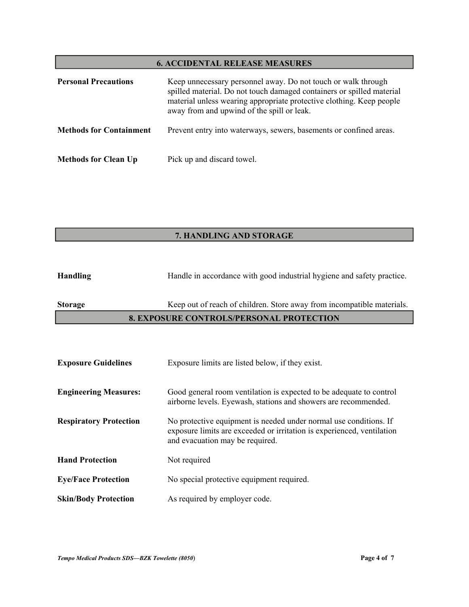#### **6. ACCIDENTAL RELEASE MEASURES**

| <b>Personal Precautions</b>    | Keep unnecessary personnel away. Do not touch or walk through<br>spilled material. Do not touch damaged containers or spilled material<br>material unless wearing appropriate protective clothing. Keep people<br>away from and upwind of the spill or leak. |
|--------------------------------|--------------------------------------------------------------------------------------------------------------------------------------------------------------------------------------------------------------------------------------------------------------|
| <b>Methods for Containment</b> | Prevent entry into waterways, sewers, basements or confined areas.                                                                                                                                                                                           |
| <b>Methods for Clean Up</b>    | Pick up and discard towel.                                                                                                                                                                                                                                   |

#### **7. HANDLING AND STORAGE**

#### **8. EXPOSURE CONTROLS/PERSONAL PROTECTION**

| <b>Exposure Guidelines</b>    | Exposure limits are listed below, if they exist.                                                                                                                               |
|-------------------------------|--------------------------------------------------------------------------------------------------------------------------------------------------------------------------------|
| <b>Engineering Measures:</b>  | Good general room ventilation is expected to be adequate to control<br>airborne levels. Eyewash, stations and showers are recommended.                                         |
| <b>Respiratory Protection</b> | No protective equipment is needed under normal use conditions. If<br>exposure limits are exceeded or irritation is experienced, ventilation<br>and evacuation may be required. |
| <b>Hand Protection</b>        | Not required                                                                                                                                                                   |
| <b>Eye/Face Protection</b>    | No special protective equipment required.                                                                                                                                      |
| <b>Skin/Body Protection</b>   | As required by employer code.                                                                                                                                                  |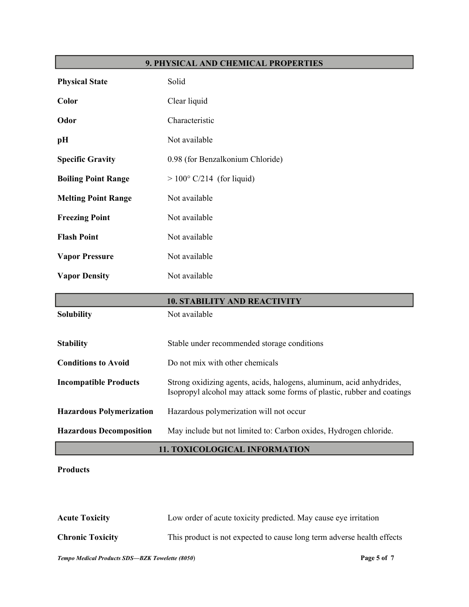#### **9. PHYSICAL AND CHEMICAL PROPERTIES**

| <b>Physical State</b>           | Solid                                                                                                                                           |
|---------------------------------|-------------------------------------------------------------------------------------------------------------------------------------------------|
| Color                           | Clear liquid                                                                                                                                    |
| Odor                            | Characteristic                                                                                                                                  |
| pH                              | Not available                                                                                                                                   |
| <b>Specific Gravity</b>         | 0.98 (for Benzalkonium Chloride)                                                                                                                |
| <b>Boiling Point Range</b>      | $> 100^{\circ}$ C/214 (for liquid)                                                                                                              |
| <b>Melting Point Range</b>      | Not available                                                                                                                                   |
| <b>Freezing Point</b>           | Not available                                                                                                                                   |
| <b>Flash Point</b>              | Not available                                                                                                                                   |
| <b>Vapor Pressure</b>           | Not available                                                                                                                                   |
| <b>Vapor Density</b>            | Not available                                                                                                                                   |
|                                 | <b>10. STABILITY AND REACTIVITY</b>                                                                                                             |
| <b>Solubility</b>               | Not available                                                                                                                                   |
| <b>Stability</b>                | Stable under recommended storage conditions                                                                                                     |
| <b>Conditions to Avoid</b>      | Do not mix with other chemicals                                                                                                                 |
| <b>Incompatible Products</b>    | Strong oxidizing agents, acids, halogens, aluminum, acid anhydrides,<br>Isopropyl alcohol may attack some forms of plastic, rubber and coatings |
| <b>Hazardous Polymerization</b> | Hazardous polymerization will not occur                                                                                                         |
| <b>Hazardous Decomposition</b>  | May include but not limited to: Carbon oxides, Hydrogen chloride.                                                                               |

#### **11. TOXICOLOGICAL INFORMATION**

#### **Products**

| <b>Acute Toxicity</b>   | Low order of acute toxicity predicted. May cause eye irritation        |
|-------------------------|------------------------------------------------------------------------|
| <b>Chronic Toxicity</b> | This product is not expected to cause long term adverse health effects |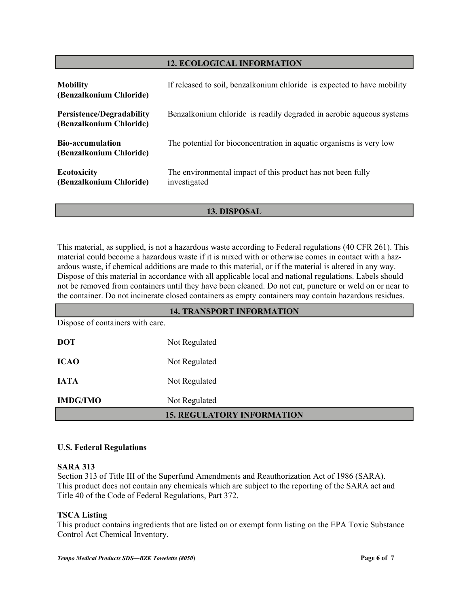#### **12. ECOLOGICAL INFORMATION**

| <b>Mobility</b><br>(Benzalkonium Chloride)                  | If released to soil, benzalkonium chloride is expected to have mobility     |
|-------------------------------------------------------------|-----------------------------------------------------------------------------|
| <b>Persistence/Degradability</b><br>(Benzalkonium Chloride) | Benzalkonium chloride is readily degraded in aerobic aqueous systems        |
| <b>Bio-accumulation</b><br>(Benzalkonium Chloride)          | The potential for bioconcentration in aquatic organisms is very low         |
| <b>Ecotoxicity</b><br>(Benzalkonium Chloride)               | The environmental impact of this product has not been fully<br>investigated |

#### **13. DISPOSAL**

This material, as supplied, is not a hazardous waste according to Federal regulations (40 CFR 261). This material could become a hazardous waste if it is mixed with or otherwise comes in contact with a hazardous waste, if chemical additions are made to this material, or if the material is altered in any way. Dispose of this material in accordance with all applicable local and national regulations. Labels should not be removed from containers until they have been cleaned. Do not cut, puncture or weld on or near to the container. Do not incinerate closed containers as empty containers may contain hazardous residues.

# Dispose of containers with care. **DOT** Not Regulated **ICAO** Not Regulated **IATA** Not Regulated **IMDG/IMO** Not Regulated **14. TRANSPORT INFORMATION 15. REGULATORY INFORMATION**

#### **U.S. Federal Regulations**

#### **SARA 313**

Section 313 of Title III of the Superfund Amendments and Reauthorization Act of 1986 (SARA). This product does not contain any chemicals which are subject to the reporting of the SARA act and Title 40 of the Code of Federal Regulations, Part 372.

#### **TSCA Listing**

This product contains ingredients that are listed on or exempt form listing on the EPA Toxic Substance Control Act Chemical Inventory.